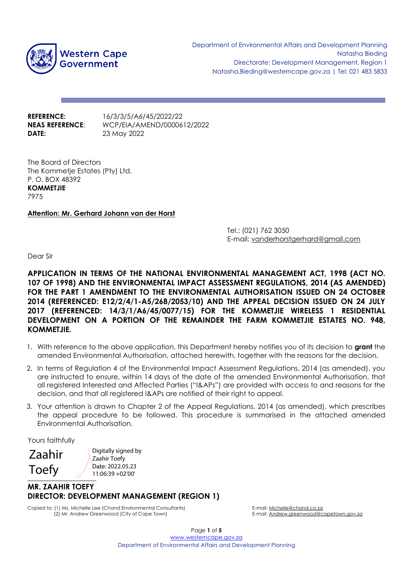

**REFERENCE:** 16/3/3/5/A6/45/2022/22 **DATE:** 23 May 2022

**NEAS REFERENCE**: WCP/EIA/AMEND/0000612/2022

The Board of Directors The Kommetje Estates (Pty) Ltd. P. O. BOX 48392 **KOMMETJIE** 7975

## **Attention: Mr. Gerhard Johann van der Horst**

Tel.: (021) 762 3050 E-mail: vanderhorstgerhard@gmail.com

Dear Sir

**APPLICATION IN TERMS OF THE NATIONAL ENVIRONMENTAL MANAGEMENT ACT, 1998 (ACT NO. 107 OF 1998) AND THE ENVIRONMENTAL IMPACT ASSESSMENT REGULATIONS, 2014 (AS AMENDED) FOR THE PART 1 AMENDMENT TO THE ENVIRONMENTAL AUTHORISATION ISSUED ON 24 OCTOBER 2014 (REFERENCED: E12/2/4/1-A5/268/2053/10) AND THE APPEAL DECISION ISSUED ON 24 JULY 2017 (REFERENCED: 14/3/1/A6/45/0077/15) FOR THE KOMMETJIE WIRELESS 1 RESIDENTIAL DEVELOPMENT ON A PORTION OF THE REMAINDER THE FARM KOMMETJIE ESTATES NO. 948, KOMMETJIE.**

- 1. With reference to the above application, this Department hereby notifies you of its decision to **grant** the amended Environmental Authorisation, attached herewith, together with the reasons for the decision.
- 2. In terms of Regulation 4 of the Environmental Impact Assessment Regulations, 2014 (as amended), you are instructed to ensure, within 14 days of the date of the amended Environmental Authorisation, that all registered Interested and Affected Parties ("I&APs") are provided with access to and reasons for the decision, and that all registered I&APs are notified of their right to appeal.
- 3. Your attention is drawn to Chapter 2 of the Appeal Regulations, 2014 (as amended), which prescribes the appeal procedure to be followed. This procedure is summarised in the attached amended Environmental Authorisation.

Yours faithfully

Zaahir Toefy

Digitally signed by Zaahir Toefy Date: 2022.05.23 11:06:39 +02'00'

## **1000 MR. ZAAHIR TOEFY DIRECTOR: DEVELOPMENT MANAGEMENT (REGION 1)**

Copied to: (1) Ms. Michelle Lee (Chand Environmental Consultants) E-mail: <u>Michelle@chand.co.za</u><br>2) Mr. Andrew Greenwood (City of Cape Town) [2] Mr. Andrew Greenwood (City of Cape Town) (2) Mr. Andrew Greenwood (City of Cape Town)

Page **1** of **5** [www.westerncape.gov.za](http://www.westerncape.gov.za/) Department of Environmental Affairs and Development Planning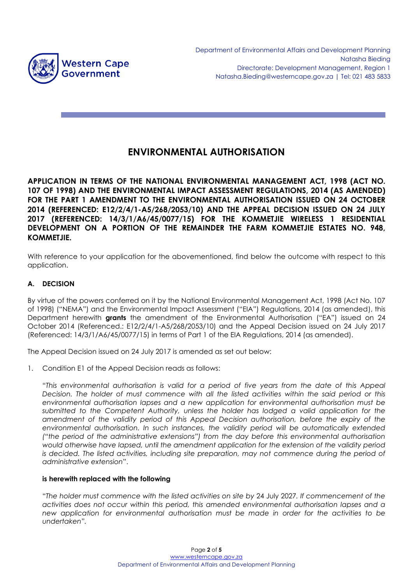

# **ENVIRONMENTAL AUTHORISATION**

**APPLICATION IN TERMS OF THE NATIONAL ENVIRONMENTAL MANAGEMENT ACT, 1998 (ACT NO. 107 OF 1998) AND THE ENVIRONMENTAL IMPACT ASSESSMENT REGULATIONS, 2014 (AS AMENDED) FOR THE PART 1 AMENDMENT TO THE ENVIRONMENTAL AUTHORISATION ISSUED ON 24 OCTOBER 2014 (REFERENCED: E12/2/4/1-A5/268/2053/10) AND THE APPEAL DECISION ISSUED ON 24 JULY 2017 (REFERENCED: 14/3/1/A6/45/0077/15) FOR THE KOMMETJIE WIRELESS 1 RESIDENTIAL DEVELOPMENT ON A PORTION OF THE REMAINDER THE FARM KOMMETJIE ESTATES NO. 948, KOMMETJIE.**

With reference to your application for the abovementioned, find below the outcome with respect to this application.

# **A. DECISION**

By virtue of the powers conferred on it by the National Environmental Management Act, 1998 (Act No. 107 of 1998) ("NEMA") and the Environmental Impact Assessment ("EIA") Regulations, 2014 (as amended), this Department herewith **grants** the amendment of the Environmental Authorisation ("EA") issued on 24 October 2014 (Referenced.: E12/2/4/1-A5/268/2053/10) and the Appeal Decision issued on 24 July 2017 (Referenced: 14/3/1/A6/45/0077/15) in terms of Part 1 of the EIA Regulations, 2014 (as amended).

The Appeal Decision issued on 24 July 2017 is amended as set out below:

1. Condition E1 of the Appeal Decision reads as follows:

"*This environmental authorisation is valid for a period of five years from the date of this Appeal Decision. The holder of must commence with all the listed activities within the said period or this environmental authorisation lapses and a new application for environmental authorisation must be submitted to the Competent Authority, unless the holder has lodged a valid application for the amendment of the validity period of this Appeal Decision authorisation, before the expiry of the environmental authorisation. In such instances, the validity period will be automatically extended ("the period of the administrative extensions") from the day before this environmental authorisation would otherwise have lapsed, until the amendment application for the extension of the validity period is decided. The listed activities, including site preparation, may not commence during the period of administrative extension*".

## **is herewith replaced with the following**

"*The holder must commence with the listed activities on site by* 24 July 2027*. If commencement of the activities does not occur within this period, this amended environmental authorisation lapses and a new application for environmental authorisation must be made in order for the activities to be undertaken".*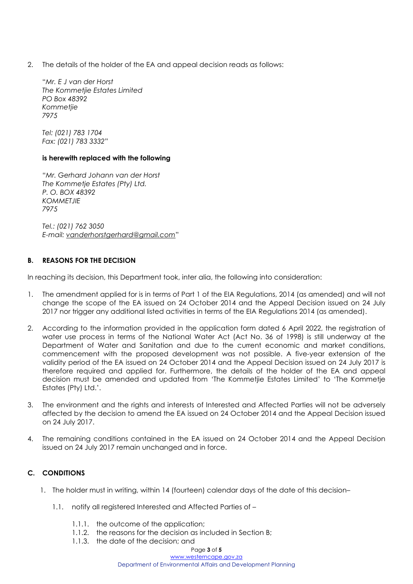2. The details of the holder of the EA and appeal decision reads as follows:

"*Mr. E J van der Horst The Kommetjie Estates Limited PO Box 48392 Kommetjie 7975*

*Tel: (021) 783 1704 Fax: (021) 783 3332*"

#### **is herewith replaced with the following**

"*Mr. Gerhard Johann van der Horst The Kommetje Estates (Pty) Ltd. P. O. BOX 48392 KOMMETJIE 7975* 

*Tel.: (021) 762 3050 E-mail: [vanderhorstgerhard@gmail.com](mailto:vanderhorstgerhard@gmail.com)*"

## **B. REASONS FOR THE DECISION**

In reaching its decision, this Department took, inter alia, the following into consideration:

- 1. The amendment applied for is in terms of Part 1 of the EIA Regulations, 2014 (as amended) and will not change the scope of the EA issued on 24 October 2014 and the Appeal Decision issued on 24 July 2017 nor trigger any additional listed activities in terms of the EIA Regulations 2014 (as amended).
- 2. According to the information provided in the application form dated 6 April 2022, the registration of water use process in terms of the National Water Act (Act No. 36 of 1998) is still underway at the Department of Water and Sanitation and due to the current economic and market conditions, commencement with the proposed development was not possible. A five-year extension of the validity period of the EA issued on 24 October 2014 and the Appeal Decision issued on 24 July 2017 is therefore required and applied for. Furthermore, the details of the holder of the EA and appeal decision must be amended and updated from 'The Kommetjie Estates Limited' to 'The Kommetje Estates (Pty) Ltd.'.
- 3. The environment and the rights and interests of Interested and Affected Parties will not be adversely affected by the decision to amend the EA issued on 24 October 2014 and the Appeal Decision issued on 24 July 2017.
- 4. The remaining conditions contained in the EA issued on 24 October 2014 and the Appeal Decision issued on 24 July 2017 remain unchanged and in force.

# **C. CONDITIONS**

- 1. The holder must in writing, within 14 (fourteen) calendar days of the date of this decision–
	- 1.1. notify all registered Interested and Affected Parties of
		- 1.1.1. the outcome of the application;
		- 1.1.2. the reasons for the decision as included in Section B;
		- 1.1.3. the date of the decision; and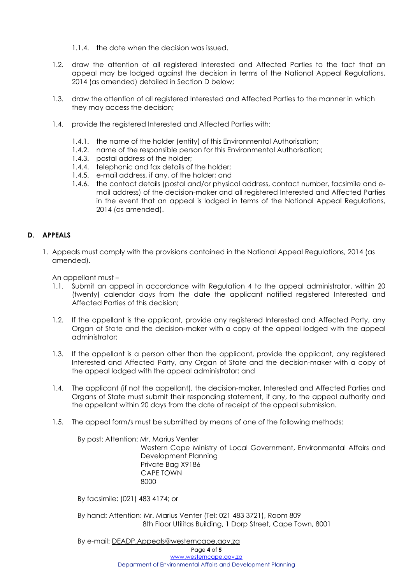- 1.1.4. the date when the decision was issued.
- 1.2. draw the attention of all registered Interested and Affected Parties to the fact that an appeal may be lodged against the decision in terms of the National Appeal Regulations, 2014 (as amended) detailed in Section D below;
- 1.3. draw the attention of all registered Interested and Affected Parties to the manner in which they may access the decision;
- 1.4. provide the registered Interested and Affected Parties with:
	- 1.4.1. the name of the holder (entity) of this Environmental Authorisation;
	- 1.4.2. name of the responsible person for this Environmental Authorisation;
	- 1.4.3. postal address of the holder;
	- 1.4.4. telephonic and fax details of the holder;
	- 1.4.5. e-mail address, if any, of the holder; and
	- 1.4.6. the contact details (postal and/or physical address, contact number, facsimile and email address) of the decision-maker and all registered Interested and Affected Parties in the event that an appeal is lodged in terms of the National Appeal Regulations, 2014 (as amended).

## **D. APPEALS**

1. Appeals must comply with the provisions contained in the National Appeal Regulations, 2014 (as amended).

An appellant must –

- 1.1. Submit an appeal in accordance with Regulation 4 to the appeal administrator, within 20 (twenty) calendar days from the date the applicant notified registered Interested and Affected Parties of this decision;
- 1.2. If the appellant is the applicant, provide any registered Interested and Affected Party, any Organ of State and the decision-maker with a copy of the appeal lodged with the appeal administrator;
- 1.3. If the appellant is a person other than the applicant, provide the applicant, any registered Interested and Affected Party, any Organ of State and the decision-maker with a copy of the appeal lodged with the appeal administrator; and
- 1.4. The applicant (if not the appellant), the decision-maker, Interested and Affected Parties and Organs of State must submit their responding statement, if any, to the appeal authority and the appellant within 20 days from the date of receipt of the appeal submission.
- 1.5. The appeal form/s must be submitted by means of one of the following methods:

By post: Attention: Mr. Marius Venter Western Cape Ministry of Local Government, Environmental Affairs and Development Planning Private Bag X9186 CAPE TOWN <u>8000 - 10 Anii 10 Anii 10 Anii 10 Anii 110 Anii 120 Anii 120 Anii 120 Anii 120 Anii 120 Anii 120 Anii 120 Ani</u>

By facsimile: (021) 483 4174; or

By hand: Attention: Mr. Marius Venter (Tel: 021 483 3721), Room 809 8th Floor Utilitas Building, 1 Dorp Street, Cape Town, 8001

By e-mail: DEADP.Appeals@westerncape.gov.za